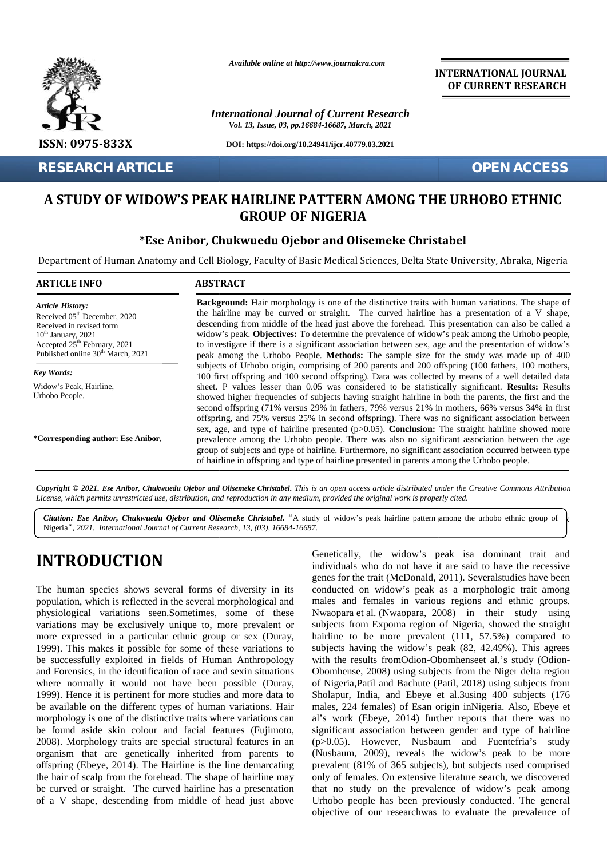

**RESEARCH ARTICLE OPEN ACCESS**

*Available online at http://www.journalcra.com*

*International Journal of Current Research Vol. 13, Issue, 03, pp.16684-16687, March, 2021*

**DOI: https://doi.org/10.24941/ijcr.40779.03.2021**

**INTERNATIONAL JOURNAL OF CURRENT RESEARCH**

# **A STUDY OF WIDOW'S PEAK HAIRLINE PATTERN AMONG THE URHOBO ETHNIC A STUDY NIGERIA GROUP OF NIGERIA**

### **\*Ese Anibor, Chukwuedu Ojebor and Olisemeke Christabel Chukwuedu Christabel**

|                                                                                                                                                                                                                      | A STUDY OF WIDOW'S PEAK HAIRLINE PATTERN AMONG THE URHOBO ETHNIC<br><b>GROUP OF NIGERIA</b>                                                                                                                                                                                                                                                                                                                                                                                                                                                                                                                         |
|----------------------------------------------------------------------------------------------------------------------------------------------------------------------------------------------------------------------|---------------------------------------------------------------------------------------------------------------------------------------------------------------------------------------------------------------------------------------------------------------------------------------------------------------------------------------------------------------------------------------------------------------------------------------------------------------------------------------------------------------------------------------------------------------------------------------------------------------------|
|                                                                                                                                                                                                                      | *Ese Anibor, Chukwuedu Ojebor and Olisemeke Christabel                                                                                                                                                                                                                                                                                                                                                                                                                                                                                                                                                              |
|                                                                                                                                                                                                                      | Department of Human Anatomy and Cell Biology, Faculty of Basic Medical Sciences, Delta State University, Abraka, Nigeria                                                                                                                                                                                                                                                                                                                                                                                                                                                                                            |
| <b>ARTICLE INFO</b>                                                                                                                                                                                                  | <b>ABSTRACT</b>                                                                                                                                                                                                                                                                                                                                                                                                                                                                                                                                                                                                     |
| <b>Article History:</b><br>Received 05 <sup>th</sup> December, 2020<br>Received in revised form<br>$10th$ January, 2021<br>Accepted 25 <sup>th</sup> February, 2021<br>Published online 30 <sup>th</sup> March, 2021 | <b>Background:</b> Hair morphology is one of the distinctive traits with human variations. The shape of<br>the hairline may be curved or straight. The curved hairline has a presentation of a V shape,<br>descending from middle of the head just above the forehead. This presentation can also be called a<br>widow's peak. Objectives: To determine the prevalence of widow's peak among the Urhobo people,<br>to investigate if there is a significant association between sex, age and the presentation of widow's<br>peak among the Urhobo People. Methods: The sample size for the study was made up of 400 |
| Key Words:<br>Widow's Peak, Hairline,<br>Urhobo People.                                                                                                                                                              | subjects of Urhobo origin, comprising of 200 parents and 200 offspring (100 fathers, 100 mothers,<br>100 first offspring and 100 second offspring). Data was collected by means of a well detailed data<br>sheet. P values lesser than 0.05 was considered to be statistically significant. Results: Results<br>showed higher frequencies of subjects having straight hairline in both the parents, the first and the<br>second offspring (71% versus 29% in fathers, 79% versus 21% in mothers, 66% versus 34% in first                                                                                            |
| *Corresponding author: Ese Anibor,                                                                                                                                                                                   | offspring, and 75% versus 25% in second offspring). There was no significant association between<br>sex, age, and type of hairline presented $(p>0.05)$ . Conclusion: The straight hairline showed more<br>prevalence among the Urhobo people. There was also no significant association between the age<br>group of subjects and type of hairline. Furthermore, no significant association occurred between type<br>of hairline in offspring and type of hairline presented in parents among the Urhobo people.                                                                                                    |

**)** Nigeria*", 2021. International Journal of Current Research, 13, (03), 16684-16687.* Citation: Ese Anibor, Chukwuedu Ojebor and Olisemeke Christabel. "A study of widow's peak hairline pattern among the urhobo ethnic group of k  $\mathcal{L}$ 

# **INTRODUCTION INTRODUCTION**

**)**

The human species shows several forms of diversity in its population, which is reflected in the several morphological and physiological variations seen.Sometimes, some of these variations may be exclusively unique to, more prevalent or more expressed in a particular ethnic group or sex (Duray, 1999). This makes it possible for some of these variations to be successfully exploited in fields of Human Anthropology and Forensics, in the identification of race and sexin situations where normally it would not have been possible (Duray, 1999). Hence it is pertinent for more studies and more data to be available on the different types of human variations. Hair morphology is one of the distinctive traits where variations can be found aside skin colour and facial features (Fujimoto, 2008). Morphology traits are special structural features in an organism that are genetically inherited from parents to offspring (Ebeye, 2014). The Hairline is the line demarcating the hair of scalp from the forehead. The shape of hairline may be curved or straight. The curved hairline has a presentation of a V shape, descending from middle of head just above The human species shows several forms of diversity in its<br>population, which is reflected in the several morphological and<br>physiological variations seen.Sometimes, some of these<br>variations may be exclusively unique to, more

Genetically, the widow's peak isa dominant trait and individuals who do not have it are said to have the recessive genes for the trait (McDonald, 2011). Several studies have been conducted on widow's peak as a morphologic trait among males and females in various regions and ethnic groups. Nwaopara et al. (Nwaopara, 2008) in their study using subjects from Expoma region of Nigeria, showed the straight males and females in various regions and ethnic groups.<br>Nwaopara et al. (Nwaopara, 2008) in their study using<br>subjects from Expoma region of Nigeria, showed the straight<br>hairline to be more prevalent (111, 57.5%) compared subjects having the widow's peak (82, 42.49%). This agrees with the results fromOdion-Obomhenseet al.'s study (Odion-Obomhense, 2008) using subjects from the Niger delta region of Nigeria,Patil and Bachute (Patil, 2018) using subjects from Sholapur, India, and Ebeye et al.3using 400 subjects (176 of Nigeria, Patil and Bachute (Patil, 2018) using subjects from<br>Sholapur, India, and Ebeye et al.3using 400 subjects (176<br>males, 224 females) of Esan origin inNigeria. Also, Ebeye et al's work (Ebeye, 2014) further reports that there was no significant association between gender and type of hairline (p>0.05). However, Nusbaum and Fuentefria's study (Nusbaum, 2009), reveals the widow's peak to be more prevalent (81% of 365 subjects), but subjects used comprised prevalent (81% of 365 subjects), but subjects used comprised<br>only of females. On extensive literature search, we discovered that no study on the prevalence of widow's peak among Urhobo people has been previously conducted. The general objective of our researchwas to evaluate the prevalence of **INTRODUCTION**<br>
<sup>1</sup> individuals who do not have it are said to have the recessive<br>
The human species shows several forms of diversity in its conducted on widow's peak as a morphologic trait among<br>
population, which is refl **IN**<br>
individuals who do not have it are said to have the recessive<br>
genes for the trait (McDonald, 2011). Severalstudies have been<br>
several forms of diversity in its<br>
conducted on widow's peak as a morphologic trait among Current Research, 13, (03), 16684-16687.<br>
Cenetically, the widow's protectional distant individuals who do not have igness for the trait (McDonald, 1 forms of diversity in its conducted on widow's peak eseveral morphologi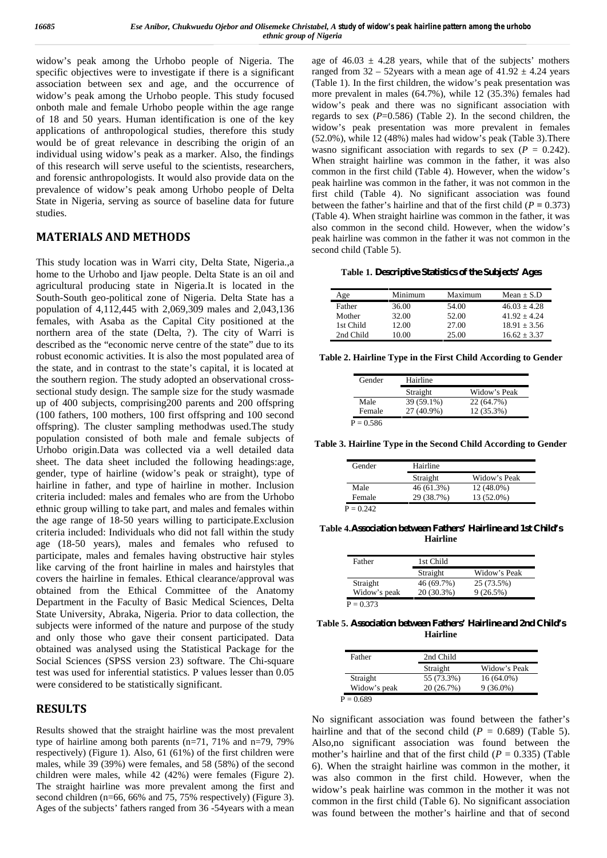widow's peak among the Urhobo people of Nigeria. The specific objectives were to investigate if there is a significant association between sex and age, and the occurrence of widow's peak among the Urhobo people. This study focused onboth male and female Urhobo people within the age range of 18 and 50 years. Human identification is one of the key applications of anthropological studies, therefore this study would be of great relevance in describing the origin of an individual using widow's peak as a marker. Also, the findings of this research will serve useful to the scientists, researchers, and forensic anthropologists. It would also provide data on the prevalence of widow's peak among Urhobo people of Delta State in Nigeria, serving as source of baseline data for future studies.

#### **MATERIALS AND METHODS**

This study location was in Warri city, Delta State, Nigeria.,a home to the Urhobo and Ijaw people. Delta State is an oil and agricultural producing state in Nigeria.It is located in the South-South geo-political zone of Nigeria. Delta State has a population of 4,112,445 with 2,069,309 males and 2,043,136 females, with Asaba as the Capital City positioned at the northern area of the state (Delta, ?). The city of Warri is described as the "economic nerve centre of the state" due to its robust economic activities. It is also the most populated area of the state, and in contrast to the state's capital, it is located at the southern region. The study adopted an observational cross sectional study design. The sample size for the study wasmade up of 400 subjects, comprising200 parents and 200 offspring (100 fathers, 100 mothers, 100 first offspring and 100 second offspring). The cluster sampling methodwas used.The study population consisted of both male and female subjects of Urhobo origin.Data was collected via a well detailed data sheet. The data sheet included the following headings:age, gender, type of hairline (widow's peak or straight), type of hairline in father, and type of hairline in mother. Inclusion criteria included: males and females who are from the Urhobo ethnic group willing to take part, and males and females within the age range of 18-50 years willing to participate.Exclusion criteria included: Individuals who did not fall within the study age (18-50 years), males and females who refused to participate, males and females having obstructive hair styles like carving of the front hairline in males and hairstyles that covers the hairline in females. Ethical clearance/approval was obtained from the Ethical Committee of the Anatomy Department in the Faculty of Basic Medical Sciences, Delta State University, Abraka, Nigeria. Prior to data collection, the subjects were informed of the nature and purpose of the study and only those who gave their consent participated. Data obtained was analysed using the Statistical Package for the Social Sciences (SPSS version 23) software. The Chi-square test was used for inferential statistics. P values lesser than 0.05 were considered to be statistically significant.

#### **RESULTS**

Results showed that the straight hairline was the most prevalent type of hairline among both parents (n=71, 71% and n=79, 79% respectively) (Figure 1). Also, 61 (61%) of the first children were males, while 39 (39%) were females, and 58 (58%) of the second children were males, while 42 (42%) were females (Figure 2). The straight hairline was more prevalent among the first and second children (n=66, 66% and 75, 75% respectively) (Figure 3). Ages of the subjects' fathers ranged from 36 -54years with a mean

age of  $46.03 \pm 4.28$  years, while that of the subjects' mothers ranged from  $32 - 52$ years with a mean age of  $41.92 \pm 4.24$  years (Table 1). In the first children, the widow's peak presentation was more prevalent in males (64.7%), while 12 (35.3%) females had widow's peak and there was no significant association with regards to sex  $(P=0.586)$  (Table 2). In the second children, the widow's peak presentation was more prevalent in females (52.0%), while 12 (48%) males had widow's peak (Table 3).There wasno significant association with regards to sex  $(P = 0.242)$ . When straight hairline was common in the father, it was also common in the first child (Table 4). However, when the widow's peak hairline was common in the father, it was not common in the first child (Table 4). No significant association was found between the father's hairline and that of the first child ( $P = 0.373$ ) (Table 4). When straight hairline was common in the father, it was also common in the second child. However, when the widow's peak hairline was common in the father it was not common in the second child (Table 5).

**Table 1. Descriptive Statistics of the Subjects' Ages**

| Age       | Minimum | Maximum | Mean $\pm$ S.D |
|-----------|---------|---------|----------------|
| Father    | 36.00   | 54.00   | $46.03 + 4.28$ |
| Mother    | 32.00   | 52.00   | $41.92 + 4.24$ |
| 1st Child | 12.00   | 27.00   | $18.91 + 3.56$ |
| 2nd Child | 10.00   | 25.00   | $16.62 + 3.37$ |

**Table 2. Hairline Type in the First Child According to Gender**

| Gender      | Hairline   |              |
|-------------|------------|--------------|
|             | Straight   | Widow's Peak |
| Male        | 39 (59.1%) | 22 (64.7%)   |
| Female      | 27 (40.9%) | 12 (35.3%)   |
| $P = 0.586$ |            |              |

**Table 3. Hairline Type in the Second Child According to Gender**

| Gender | Hairline   |              |
|--------|------------|--------------|
|        | Straight   | Widow's Peak |
| Male   | 46 (61.3%) | 12 (48.0%)   |
| Female | 29 (38.7%) | 13 (52.0%)   |

**Table 4.Association between Fathers' Hairline and 1st Child's Hairline**

| Father       | 1st Child  |              |
|--------------|------------|--------------|
|              | Straight   | Widow's Peak |
| Straight     | 46 (69.7%) | 25 (73.5%)   |
| Widow's peak | 20 (30.3%) | 9(26.5%)     |

**Table 5. Association between Fathers' Hairline and 2nd Child's Hairline**

| Father       | 2nd Child  |              |
|--------------|------------|--------------|
|              | Straight   | Widow's Peak |
| Straight     | 55 (73.3%) | $16(64.0\%)$ |
| Widow's peak | 20(26.7%)  | $9(36.0\%)$  |

 $P = 0.689$ 

No significant association was found between the father's hairline and that of the second child  $(P = 0.689)$  (Table 5). Also,no significant association was found between the mother's hairline and that of the first child  $(P = 0.335)$  (Table 6). When the straight hairline was common in the mother, it was also common in the first child. However, when the widow's peak hairline was common in the mother it was not common in the first child (Table 6). No significant association was found between the mother's hairline and that of second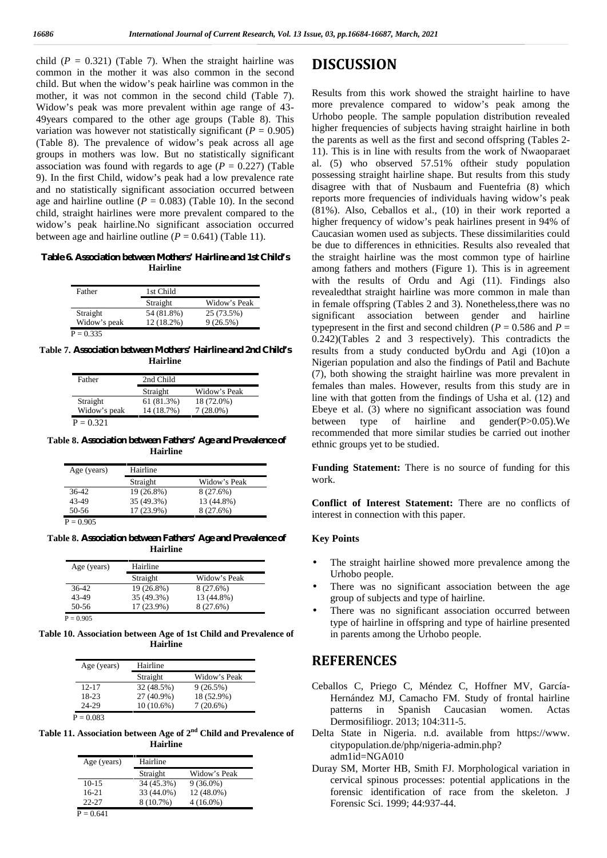child  $(P = 0.321)$  (Table 7). When the straight hairline was common in the mother it was also common in the second child. But when the widow's peak hairline was common in the mother, it was not common in the second child (Table 7). Widow's peak was more prevalent within age range of 43- 49years compared to the other age groups (Table 8). This variation was however not statistically significant  $(P = 0.905)$ (Table 8). The prevalence of widow's peak across all age groups in mothers was low. But no statistically significant association was found with regards to age  $(P = 0.227)$  (Table 9). In the first Child, widow's peak had a low prevalence rate and no statistically significant association occurred between age and hairline outline ( $P = 0.083$ ) (Table 10). In the second child, straight hairlines were more prevalent compared to the widow's peak hairline.No significant association occurred between age and hairline outline  $(P = 0.641)$  (Table 11).

**Table 6. Association between Mothers' Hairline and 1st Child's Hairline**

| Father       | 1st Child  |              |
|--------------|------------|--------------|
|              | Straight   | Widow's Peak |
| Straight     | 54 (81.8%) | 25 (73.5%)   |
| Widow's peak | 12 (18.2%) | $9(26.5\%)$  |

**Table 7. Association between Mothers' Hairline and 2nd Child's Hairline**

| Father       | 2nd Child  |              |
|--------------|------------|--------------|
|              | Straight   | Widow's Peak |
| Straight     | 61 (81.3%) | 18 (72.0%)   |
| Widow's peak | 14 (18.7%) | $7(28.0\%)$  |
| $P = 0.321$  |            |              |

**Table 8. Association between Fathers' Age and Prevalence of Hairline**

| Age (years) | Hairline   |              |
|-------------|------------|--------------|
|             | Straight   | Widow's Peak |
| 36-42       | 19 (26.8%) | 8(27.6%)     |
| 43-49       | 35 (49.3%) | 13 (44.8%)   |
| 50-56       | 17 (23.9%) | 8(27.6%)     |

 $P = 0.905$ 

**Table 8. Association between Fathers' Age and Prevalence of Hairline**

| Hairline   |              |
|------------|--------------|
| Straight   | Widow's Peak |
| 19 (26.8%) | 8(27.6%)     |
| 35 (49.3%) | 13 (44.8%)   |
| 17 (23.9%) | 8 (27.6%)    |
|            |              |

 $P = 0.905$ 

**Table 10. Association between Age of 1st Child and Prevalence of Hairline**

| Age (years) | Hairline   |              |
|-------------|------------|--------------|
|             | Straight   | Widow's Peak |
| $12 - 17$   | 32 (48.5%) | 9(26.5%)     |
| 18-23       | 27 (40.9%) | 18 (52.9%)   |
| 24-29       | 10 (10.6%) | $7(20.6\%)$  |

 $P = 0.083$ 

**Table 11. Association between Age of 2nd Child and Prevalence of Hairline**

| Age (years) | Hairline   |              |
|-------------|------------|--------------|
|             | Straight   | Widow's Peak |
| $10 - 15$   | 34 (45.3%) | $9(36.0\%)$  |
| $16-21$     | 33 (44.0%) | 12 (48.0%)   |
| $22 - 27$   | 8 (10.7%)  | $4(16.0\%)$  |

## **DISCUSSION**

Results from this work showed the straight hairline to have more prevalence compared to widow's peak among the Urhobo people. The sample population distribution revealed higher frequencies of subjects having straight hairline in both the parents as well as the first and second offspring (Tables 2- 11). This is in line with results from the work of Nwaoparaet al. (5) who observed 57.51% oftheir study population possessing straight hairline shape. But results from this study disagree with that of Nusbaum and Fuentefria (8) which reports more frequencies of individuals having widow's peak (81%). Also, Ceballos et al., (10) in their work reported a higher frequency of widow's peak hairlines present in 94% of Caucasian women used as subjects. These dissimilarities could be due to differences in ethnicities. Results also revealed that the straight hairline was the most common type of hairline among fathers and mothers (Figure 1). This is in agreement with the results of Ordu and Agi (11). Findings also revealedthat straight hairline was more common in male than in female offspring (Tables 2 and 3). Nonetheless,there was no significant association between gender and hairline typepresent in the first and second children ( $P = 0.586$  and  $P =$ 0.242)(Tables 2 and 3 respectively). This contradicts the results from a study conducted byOrdu and Agi (10)on a Nigerian population and also the findings of Patil and Bachute (7), both showing the straight hairline was more prevalent in females than males. However, results from this study are in line with that gotten from the findings of Usha et al. (12) and Ebeye et al. (3) where no significant association was found between type of hairline and gender(P>0.05).We recommended that more similar studies be carried out inother ethnic groups yet to be studied.

**Funding Statement:** There is no source of funding for this work.

**Conflict of Interest Statement:** There are no conflicts of interest in connection with this paper.

#### **Key Points**

- The straight hairline showed more prevalence among the Urhobo people.
- There was no significant association between the age group of subjects and type of hairline.
- There was no significant association occurred between type of hairline in offspring and type of hairline presented in parents among the Urhobo people.

## **REFERENCES**

- Ceballos C, Priego C, Méndez C, Hoffner MV, García- Hernández MJ, Camacho FM. Study of frontal hairline patterns in Spanish Caucasian women. Actas Dermosifiliogr. 2013; 104:311-5.
- Delta State in Nigeria. n.d. available from https://www. citypopulation.de/php/nigeria-admin.php? adm1id=NGA010
- Duray SM, Morter HB, Smith FJ. Morphological variation in cervical spinous processes: potential applications in the forensic identification of race from the skeleton. J Forensic Sci. 1999; 44:937-44.